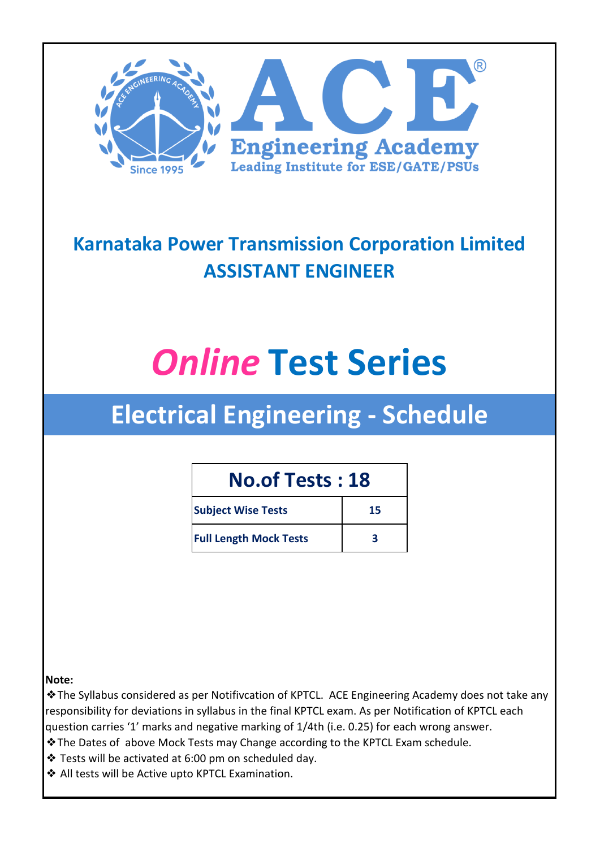

### **Karnataka Power Transmission Corporation Limited ASSISTANT ENGINEER**

# *Online* **Test Series**

## **Electrical Engineering - Schedule**

#### **No.of Tests : 18**

| <b>Subject Wise Tests</b>     | 15 |
|-------------------------------|----|
| <b>Full Length Mock Tests</b> |    |

#### **Note:**

❖The Syllabus considered as per Notifivcation of KPTCL. ACE Engineering Academy does not take any responsibility for deviations in syllabus in the final KPTCL exam. As per Notification of KPTCL each question carries '1' marks and negative marking of 1/4th (i.e. 0.25) for each wrong answer.

- ❖The Dates of above Mock Tests may Change according to the KPTCL Exam schedule.
- ❖ Tests will be activated at 6:00 pm on scheduled day.
- ❖ All tests will be Active upto KPTCL Examination.